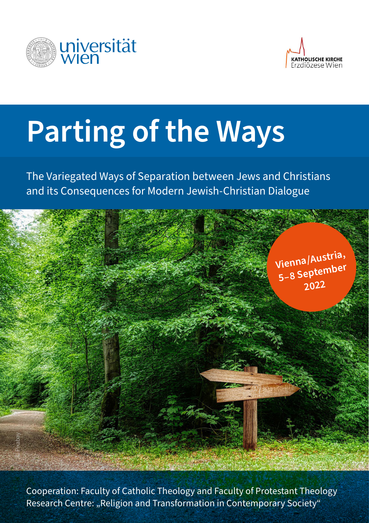



# **Parting of the Ways**

The Variegated Ways of Separation between Jews and Christians and its Consequences for Modern Jewish-Christian Dialogue



Cooperation: Faculty of Catholic Theology and Faculty of Protestant Theology Research Centre: "Religion and Transformation in Contemporary Society"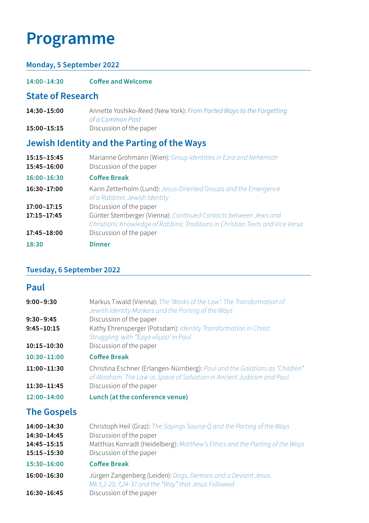## **Programme**

#### **Monday, 5 September 2022**

**14:00–14:30 Coffee and Welcome**

#### **State of Research**

- **14:30–15:00** Annette Yoshiko-Reed (New York): *From Parted Ways to the Forgetting of a Common Past*
- **15:00–15:15** Discussion of the paper

### **Jewish Identity and the Parting of the Ways**

| 15:15-15:45<br>15:45-16:00 | Marianne Grohmann (Wien): Group Identities in Ezra and Nehemiah<br>Discussion of the paper                                                        |
|----------------------------|---------------------------------------------------------------------------------------------------------------------------------------------------|
| 16:00-16:30                | <b>Coffee Break</b>                                                                                                                               |
| 16:30-17:00                | Karin Zetterholm (Lund): Jesus-Oriented Groups and the Emergence<br>of a Rabbinic Jewish Identity                                                 |
| 17:00-17:15                | Discussion of the paper                                                                                                                           |
| 17:15-17:45                | Günter Stemberger (Vienna): Continued Contacts between Jews and<br>Christians: Knowledge of Rabbinic Traditions in Christian Texts and Vice Versa |
| 17:45-18:00                | Discussion of the paper                                                                                                                           |
| 18:30                      | <b>Dinner</b>                                                                                                                                     |

#### **Tuesday, 6 September 2022**

#### **Paul**

| $9:00 - 9:30$              | Markus Tiwald (Vienna): The 'Works of the Law': The Transformation of<br>Jewish Identity Markers and the Parting of the Ways                                                                                                      |
|----------------------------|-----------------------------------------------------------------------------------------------------------------------------------------------------------------------------------------------------------------------------------|
| $9:30 - 9:45$              | Discussion of the paper                                                                                                                                                                                                           |
| $9:45 - 10:15$             | Kathy Ehrensperger (Potsdam): Identity Transformation in Christ:<br>Struggling with "Έργα νόμου' in Paul                                                                                                                          |
| 10:15-10:30                | Discussion of the paper                                                                                                                                                                                                           |
| $10:30 - 11:00$            | <b>Coffee Break</b>                                                                                                                                                                                                               |
| 11:00-11:30                | Christina Eschner (Erlangen-Nürnberg): Paul and the Galatians as "Children"<br>of Abraham. The Law as Space of Salvation in Ancient Judaism and Paul                                                                              |
| 11:30-11:45                | Discussion of the paper                                                                                                                                                                                                           |
| 12:00-14:00                | Lunch (at the conference venue)                                                                                                                                                                                                   |
| <b>The Gospels</b>         |                                                                                                                                                                                                                                   |
| 14:00-14:30<br>14:30-14:45 | Christoph Heil (Graz): The Sayings Source Q and the Parting of the Ways<br>Discussion of the paper                                                                                                                                |
| 14:45-15:15                | Matthias Konradt (Heidelberg): Matthew's Ethics and the Parting of the Ways                                                                                                                                                       |
| 15:15-15:30                | Discussion of the paper                                                                                                                                                                                                           |
| 15:30-16:00                | <b>Coffee Break</b>                                                                                                                                                                                                               |
|                            | $\frac{1}{2}$ . The contract of the contract of the contract of the contract of the contract of the contract of the contract of the contract of the contract of the contract of the contract of the contract of the contract of t |

- **16:00–16:30** Jürgen Zangenberg (Leiden): *Dogs, Demons and a Deviant Jesus. Mk 5,1-20; 7,24-37 and the "Way" that Jesus Followed*
- **16:30–16:45** Discussion of the paper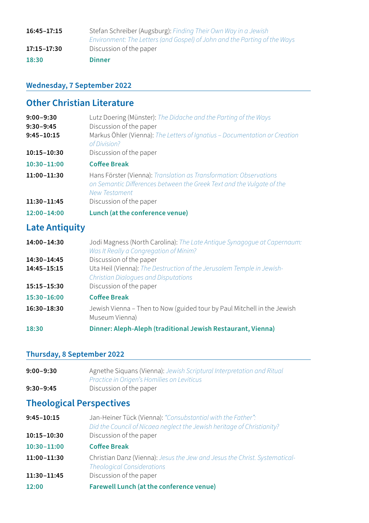| 16:45-17:15 | Stefan Schreiber (Augsburg): Finding Their Own Way in a Jewish<br>Environment: The Letters (and Gospel) of John and the Parting of the Ways |
|-------------|---------------------------------------------------------------------------------------------------------------------------------------------|
| 17:15-17:30 | Discussion of the paper                                                                                                                     |
| 18:30       | <b>Dinner</b>                                                                                                                               |

#### **Wednesday, 7 September 2022**

#### **Other Christian Literature**

| $9:00 - 9:30$<br>$9:30 - 9:45$<br>$9:45 - 10:15$ | Lutz Doering (Münster). The Didache and the Parting of the Ways<br>Discussion of the paper<br>Markus Öhler (Vienna): The Letters of Ignatius - Documentation or Creation<br>of Division? |
|--------------------------------------------------|------------------------------------------------------------------------------------------------------------------------------------------------------------------------------------------|
| 10:15-10:30                                      | Discussion of the paper                                                                                                                                                                  |
| $10:30 - 11:00$                                  | <b>Coffee Break</b>                                                                                                                                                                      |
| 11:00-11:30                                      | Hans Förster (Vienna): Translation as Transformation: Observations<br>on Semantic Differences between the Greek Text and the Vulgate of the<br><b>New Testament</b>                      |
| 11:30-11:45                                      | Discussion of the paper                                                                                                                                                                  |
| $12:00 - 14:00$                                  | Lunch (at the conference venue)                                                                                                                                                          |

#### **Late Antiquity**

| 14:00-14:30 | Jodi Magness (North Carolina): The Late Antique Synagogue at Capernaum: |
|-------------|-------------------------------------------------------------------------|
|             | Was It Really a Congregation of Minim?                                  |
| .           |                                                                         |

- **14:30–14:45** Discussion of the paper<br>**14:45–15:15** Uta Heil (Vienna): *The De*
- Uta Heil (Vienna): The Destruction of the Jerusalem Temple in Jewish-*Christian Dialogues and Disputations*
- **15:15–15:30** Discussion of the paper

#### **15:30–16:00 Coffee Break**

- **16:30–18:30** Jewish Vienna Then to Now (guided tour by Paul Mitchell in the Jewish Museum Vienna)
- **18:30 Dinner: Aleph-Aleph (traditional Jewish Restaurant, Vienna)**

#### **Thursday, 8 September 2022**

| 9:00-9:30 | Agnethe Siguans (Vienna): Jewish Scriptural Interpretation and Ritual |
|-----------|-----------------------------------------------------------------------|
|           | Practice in Origen's Homilies on Leviticus                            |
| 9:30–9:45 | Discussion of the paper                                               |

#### **Theological Perspectives**

| $9:45 - 10:15$  | Jan-Heiner Tück (Vienna): "Consubstantial with the Father":<br>Did the Council of Nicaea neglect the Jewish heritage of Christianity? |
|-----------------|---------------------------------------------------------------------------------------------------------------------------------------|
| 10:15-10:30     | Discussion of the paper                                                                                                               |
| $10:30 - 11:00$ | <b>Coffee Break</b>                                                                                                                   |
| 11:00-11:30     | Christian Danz (Vienna): Jesus the Jew and Jesus the Christ. Systematical-<br><b>Theological Considerations</b>                       |
| 11:30-11:45     | Discussion of the paper                                                                                                               |

**12:00 Farewell Lunch (at the conference venue)**